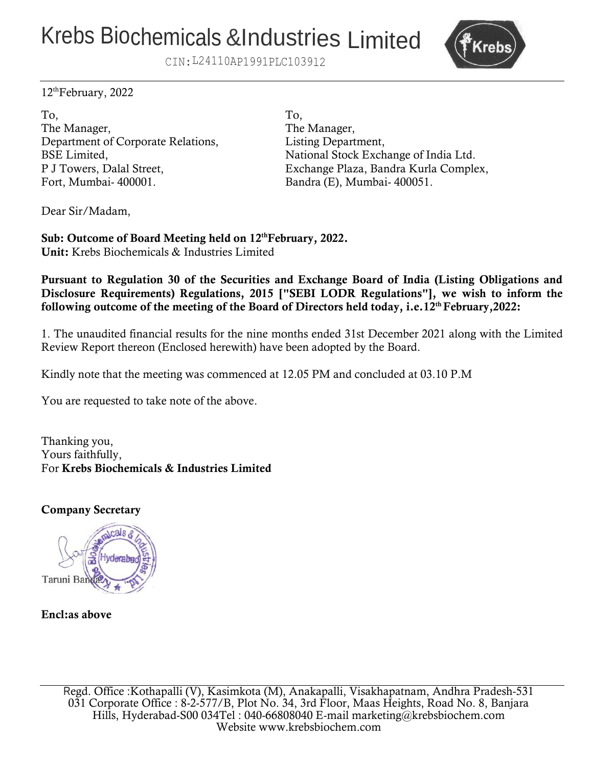# Krebs Biochemicals &Industries Limited



CIN:L24110AP1991PLC1039l2

12thFebruary, 2022

To, To, The Manager, The Manager, Department of Corporate Relations, Listing Department, Fort, Mumbai- 400001. Bandra (E), Mumbai- 400051.

BSE Limited, National Stock Exchange of India Ltd. P J Towers, Dalal Street, Exchange Plaza, Bandra Kurla Complex,

Dear Sir/Madam,

**Sub: Outcome of Board Meeting held on 12thFebruary, 2022. Unit:** Krebs Biochemicals & Industries Limited

**Pursuant to Regulation 30 of the Securities and Exchange Board of India (Listing Obligations and Disclosure Requirements) Regulations, 2015 ["SEBI LODR Regulations"], we wish to inform the following outcome of the meeting of the Board of Directors held today, i.e.12thFebruary,2022:**

1. The unaudited financial results for the nine months ended 31st December 2021 along with the Limited Review Report thereon (Enclosed herewith) have been adopted by the Board.

Kindly note that the meeting was commenced at 12.05 PM and concluded at 03.10 P.M

You are requested to take note of the above.

Thanking you, Yours faithfully, For **Krebs Biochemicals & Industries Limited**

## **Company Secretary**



## **Encl:as above**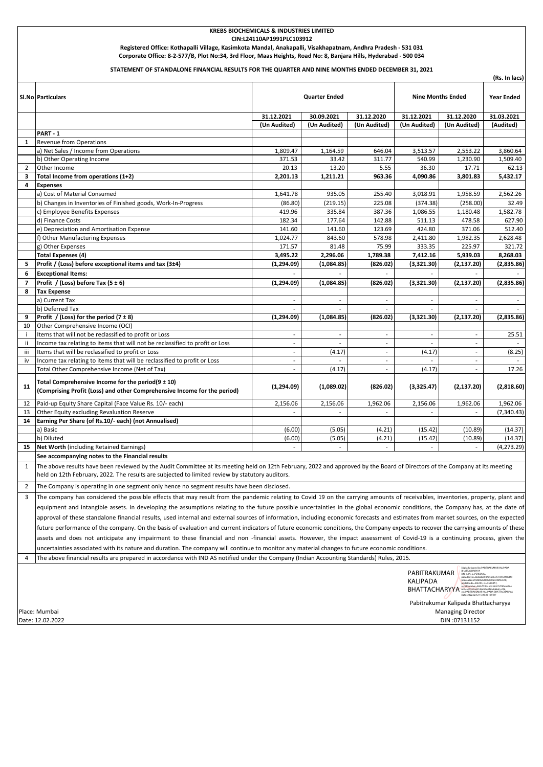#### **KREBS BIOCHEMICALS & INDUSTRIES LIMITED CIN:L24110AP1991PLC103912 Registered Office: Kothapalli Village, Kasimkota Mandal, Anakapalli, Visakhapatnam, Andhra Pradesh - 531 031 Corporate Office: 8-2-577/B, Plot No:34, 3rd Floor, Maas Heights, Road No: 8, Banjara Hills, Hyderabad - 500 034**

#### **STATEMENT OF STANDALONE FINANCIAL RESULTS FOR THE QUARTER AND NINE MONTHS ENDED DECEMBER 31, 2021**

|                |                                                                                                                                                                                                                                                                                                                                                                             |                          |                          |                          |                                          |                          | (Rs. In lacs)     |  |  |  |
|----------------|-----------------------------------------------------------------------------------------------------------------------------------------------------------------------------------------------------------------------------------------------------------------------------------------------------------------------------------------------------------------------------|--------------------------|--------------------------|--------------------------|------------------------------------------|--------------------------|-------------------|--|--|--|
|                | SI.No Particulars                                                                                                                                                                                                                                                                                                                                                           | <b>Quarter Ended</b>     |                          |                          | <b>Nine Months Ended</b>                 |                          | <b>Year Ended</b> |  |  |  |
|                |                                                                                                                                                                                                                                                                                                                                                                             | 31.12.2021               | 30.09.2021               | 31.12.2020               | 31.12.2021                               | 31.12.2020               | 31.03.2021        |  |  |  |
|                |                                                                                                                                                                                                                                                                                                                                                                             | (Un Audited)             | (Un Audited)             | (Un Audited)             | (Un Audited)                             | (Un Audited)             | (Audited)         |  |  |  |
|                | PART-1                                                                                                                                                                                                                                                                                                                                                                      |                          |                          |                          |                                          |                          |                   |  |  |  |
| 1              | <b>Revenue from Operations</b>                                                                                                                                                                                                                                                                                                                                              |                          |                          |                          |                                          |                          |                   |  |  |  |
|                | a) Net Sales / Income from Operations                                                                                                                                                                                                                                                                                                                                       | 1,809.47                 | 1,164.59                 | 646.04                   | 3,513.57                                 | 2,553.22                 | 3,860.64          |  |  |  |
|                | b) Other Operating Income                                                                                                                                                                                                                                                                                                                                                   | 371.53                   | 33.42                    | 311.77                   | 540.99                                   | 1,230.90                 | 1,509.40          |  |  |  |
| 2              | Other Income                                                                                                                                                                                                                                                                                                                                                                | 20.13                    | 13.20                    | 5.55                     | 36.30                                    | 17.71                    | 62.13             |  |  |  |
| 3              | Total Income from operations (1+2)                                                                                                                                                                                                                                                                                                                                          | 2,201.13                 | 1,211.21                 | 963.36                   | 4,090.86                                 | 3,801.83                 | 5,432.17          |  |  |  |
| 4              | <b>Expenses</b>                                                                                                                                                                                                                                                                                                                                                             |                          |                          |                          |                                          |                          |                   |  |  |  |
|                | a) Cost of Material Consumed                                                                                                                                                                                                                                                                                                                                                | 1,641.78                 | 935.05                   | 255.40                   | 3,018.91                                 | 1,958.59                 | 2,562.26          |  |  |  |
|                | b) Changes in Inventories of Finished goods, Work-In-Progress                                                                                                                                                                                                                                                                                                               | (86.80)                  | (219.15)                 | 225.08                   | (374.38)                                 | (258.00)                 | 32.49             |  |  |  |
|                | c) Employee Benefits Expenses                                                                                                                                                                                                                                                                                                                                               | 419.96                   | 335.84                   | 387.36                   | 1,086.55                                 | 1,180.48                 | 1,582.78          |  |  |  |
|                | d) Finance Costs                                                                                                                                                                                                                                                                                                                                                            | 182.34                   | 177.64                   | 142.88                   | 511.13                                   | 478.58                   | 627.90            |  |  |  |
|                | e) Depreciation and Amortisation Expense                                                                                                                                                                                                                                                                                                                                    | 141.60                   | 141.60                   | 123.69                   | 424.80                                   | 371.06                   | 512.40            |  |  |  |
|                | f) Other Manufacturing Expenses                                                                                                                                                                                                                                                                                                                                             | 1,024.77                 | 843.60                   | 578.98                   | 2,411.80                                 | 1,982.35                 | 2,628.48          |  |  |  |
|                | g) Other Expenses                                                                                                                                                                                                                                                                                                                                                           | 171.57                   | 81.48                    | 75.99                    | 333.35                                   | 225.97                   | 321.72            |  |  |  |
|                | <b>Total Expenses (4)</b>                                                                                                                                                                                                                                                                                                                                                   | 3,495.22                 | 2,296.06                 | 1,789.38                 | 7,412.16                                 | 5,939.03                 | 8,268.03          |  |  |  |
| 5              | Profit / (Loss) before exceptional items and tax (3±4)                                                                                                                                                                                                                                                                                                                      | (1, 294.09)              | (1,084.85)               | (826.02)                 | (3,321.30)                               | (2, 137.20)              | (2,835.86)        |  |  |  |
| 6              | <b>Exceptional Items:</b>                                                                                                                                                                                                                                                                                                                                                   |                          |                          | $\sim$                   |                                          |                          |                   |  |  |  |
| $\overline{ }$ | Profit / (Loss) before Tax $(5 \pm 6)$                                                                                                                                                                                                                                                                                                                                      | (1,294.09)               | (1,084.85)               | (826.02)                 | (3,321.30)                               | (2, 137.20)              | (2,835.86)        |  |  |  |
| 8              | <b>Tax Expense</b>                                                                                                                                                                                                                                                                                                                                                          |                          |                          |                          |                                          |                          |                   |  |  |  |
|                | a) Current Tax                                                                                                                                                                                                                                                                                                                                                              | $\overline{\phantom{a}}$ | $\sim$                   | $\sim$                   | $\overline{\phantom{a}}$                 |                          |                   |  |  |  |
|                | b) Deferred Tax                                                                                                                                                                                                                                                                                                                                                             | $\sim$                   | $\sim$                   | $\overline{\phantom{a}}$ | $\sim$                                   | $\mathbf{r}$             |                   |  |  |  |
| 9              | Profit / (Loss) for the period $(7 \pm 8)$                                                                                                                                                                                                                                                                                                                                  | (1,294.09)               | (1,084.85)               | (826.02)                 | (3,321.30)                               | (2, 137.20)              | (2,835.86)        |  |  |  |
| 10             | Other Comprehensive Income (OCI)                                                                                                                                                                                                                                                                                                                                            |                          |                          |                          |                                          |                          |                   |  |  |  |
| j.             | Items that will not be reclassified to profit or Loss                                                                                                                                                                                                                                                                                                                       | $\sim$                   | ٠                        | $\overline{\phantom{a}}$ | $\overline{\phantom{a}}$                 | $\overline{\phantom{a}}$ | 25.51             |  |  |  |
| ii.            | Income tax relating to items that will not be reclassified to profit or Loss                                                                                                                                                                                                                                                                                                |                          |                          | $\sim$                   |                                          |                          |                   |  |  |  |
| iii            | Items that will be reclassified to profit or Loss                                                                                                                                                                                                                                                                                                                           | $\sim$                   | (4.17)                   | $\blacksquare$           | (4.17)                                   | $\overline{\phantom{a}}$ | (8.25)            |  |  |  |
| iv             | Income tax relating to items that will be reclassified to profit or Loss                                                                                                                                                                                                                                                                                                    | $\sim$                   |                          | $\sim$                   |                                          | $\overline{\phantom{a}}$ |                   |  |  |  |
|                | Total Other Comprehensive Income (Net of Tax)                                                                                                                                                                                                                                                                                                                               | $\overline{\phantom{a}}$ | (4.17)                   | $\overline{\phantom{a}}$ | (4.17)                                   | $\overline{\phantom{a}}$ | 17.26             |  |  |  |
| 11             | Total Comprehensive Income for the period( $9 \pm 10$ )<br>(Comprising Profit (Loss) and other Comprehensive Income for the period)                                                                                                                                                                                                                                         | (1,294.09)               | (1,089.02)               | (826.02)                 | (3,325.47)                               | (2, 137.20)              | (2,818.60)        |  |  |  |
| 12             | Paid-up Equity Share Capital (Face Value Rs. 10/- each)                                                                                                                                                                                                                                                                                                                     | 2,156.06                 | 2,156.06                 | 1,962.06                 | 2,156.06                                 | 1,962.06                 | 1,962.06          |  |  |  |
| 13             | Other Equity excluding Revaluation Reserve                                                                                                                                                                                                                                                                                                                                  | $\overline{\phantom{a}}$ | $\overline{\phantom{a}}$ | $\overline{\phantom{a}}$ | $\blacksquare$                           | $\overline{\phantom{a}}$ | (7, 340.43)       |  |  |  |
| 14             | Earning Per Share (of Rs.10/- each) (not Annualised)                                                                                                                                                                                                                                                                                                                        |                          |                          |                          |                                          |                          |                   |  |  |  |
|                | a) Basic                                                                                                                                                                                                                                                                                                                                                                    | (6.00)                   | (5.05)                   | (4.21)                   | (15.42)                                  | (10.89)                  | (14.37)           |  |  |  |
|                | b) Diluted                                                                                                                                                                                                                                                                                                                                                                  | (6.00)                   | (5.05)                   | (4.21)                   | (15.42)                                  | (10.89)                  | (14.37)           |  |  |  |
| 15             | Net Worth (including Retained Earnings)                                                                                                                                                                                                                                                                                                                                     |                          |                          | $\overline{\phantom{a}}$ |                                          |                          | (4, 273.29)       |  |  |  |
|                | See accompanying notes to the Financial results                                                                                                                                                                                                                                                                                                                             |                          |                          |                          |                                          |                          |                   |  |  |  |
| $\mathbf{1}$   | The above results have been reviewed by the Audit Committee at its meeting held on 12th February, 2022 and approved by the Board of Directors of the Company at its meeting<br>held on 12th February, 2022. The results are subjected to limited review by statutory auditors.                                                                                              |                          |                          |                          |                                          |                          |                   |  |  |  |
| 2              | The Company is operating in one segment only hence no segment results have been disclosed.                                                                                                                                                                                                                                                                                  |                          |                          |                          |                                          |                          |                   |  |  |  |
| 3              | The company has considered the possible effects that may result from the pandemic relating to Covid 19 on the carrying amounts of receivables, inventories, property, plant and                                                                                                                                                                                             |                          |                          |                          |                                          |                          |                   |  |  |  |
|                |                                                                                                                                                                                                                                                                                                                                                                             |                          |                          |                          |                                          |                          |                   |  |  |  |
|                | equipment and intangible assets. In developing the assumptions relating to the future possible uncertainties in the global economic conditions, the Company has, at the date of                                                                                                                                                                                             |                          |                          |                          |                                          |                          |                   |  |  |  |
|                | approval of these standalone financial results, used internal and external sources of information, including economic forecasts and estimates from market sources, on the expected                                                                                                                                                                                          |                          |                          |                          |                                          |                          |                   |  |  |  |
|                | future performance of the company. On the basis of evaluation and current indicators of future economic conditions, the Company expects to recover the carrying amounts of these                                                                                                                                                                                            |                          |                          |                          |                                          |                          |                   |  |  |  |
|                | assets and does not anticipate any impairment to these financial and non -financial assets. However, the impact assessment of Covid-19 is a continuing process, given the                                                                                                                                                                                                   |                          |                          |                          |                                          |                          |                   |  |  |  |
|                | uncertainties associated with its nature and duration. The company will continue to monitor any material changes to future economic conditions.                                                                                                                                                                                                                             |                          |                          |                          |                                          |                          |                   |  |  |  |
| 4              | The above financial results are prepared in accordance with IND AS notified under the Company (Indian Accounting Standards) Rules, 2015.                                                                                                                                                                                                                                    |                          |                          |                          |                                          |                          |                   |  |  |  |
|                | Digitally signed by PABITRAKUMAR KALIPADA<br>BHATTACHARYYA<br>PABITRAKUMAR<br>DN: c=IN, o=PERSONAL,<br>pseudonym=8a3a8a7047d56d6e17c345245b<br>6bacaa92e619d206dd9db030bd442f52e48,<br>KALIPADA<br>postalCode=396195.st=GUJARAT.<br>JalNumher=26fa7fc0h4eh356427cf18fe6e56e<br><b>BHATTACHARYYA</b> 64560119574407d9d97oaff83dd6b41e7f8<br>Date: 2022.02.12 15:09:39 +05'30 |                          |                          |                          |                                          |                          |                   |  |  |  |
|                | Pabitrakumar Kalipada Bhattacharyya                                                                                                                                                                                                                                                                                                                                         |                          |                          |                          |                                          |                          |                   |  |  |  |
|                | Place: Mumbai<br>Date: 12.02.2022                                                                                                                                                                                                                                                                                                                                           |                          |                          |                          | <b>Managing Director</b><br>DIN:07131152 |                          |                   |  |  |  |
|                |                                                                                                                                                                                                                                                                                                                                                                             |                          |                          |                          |                                          |                          |                   |  |  |  |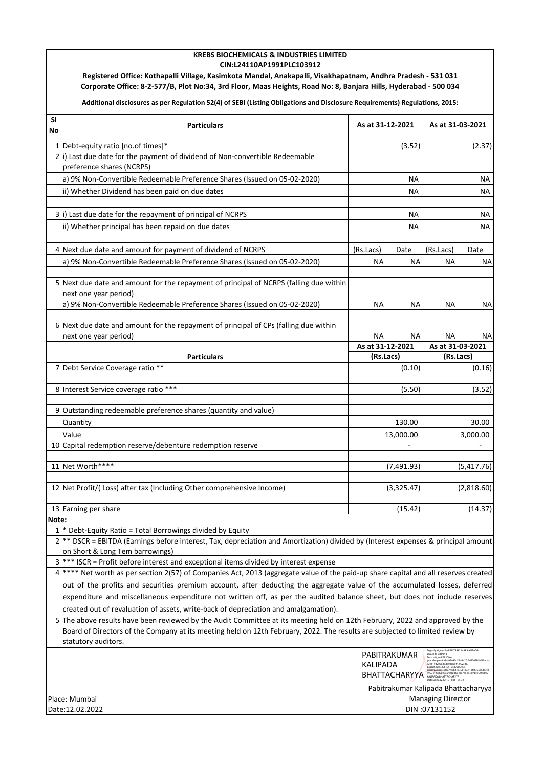#### **KREBS BIOCHEMICALS & INDUSTRIES LIMITED CIN:L24110AP1991PLC103912**

**Registered Office: Kothapalli Village, Kasimkota Mandal, Anakapalli, Visakhapatnam, Andhra Pradesh - 531 031 Corporate Office: 8-2-577/B, Plot No:34, 3rd Floor, Maas Heights, Road No: 8, Banjara Hills, Hyderabad - 500 034**

**Additional disclosures as per Regulation 52(4) of SEBI (Listing Obligations and Disclosure Requirements) Regulations, 2015:**

| SI<br>No                            | <b>Particulars</b>                                                                                                                                                                                                                                                                                                                                       | As at 31-12-2021 |           | As at 31-03-2021         |            |  |  |  |  |
|-------------------------------------|----------------------------------------------------------------------------------------------------------------------------------------------------------------------------------------------------------------------------------------------------------------------------------------------------------------------------------------------------------|------------------|-----------|--------------------------|------------|--|--|--|--|
|                                     | 1 Debt-equity ratio [no.of times]*                                                                                                                                                                                                                                                                                                                       | (3.52)           |           | (2.37)                   |            |  |  |  |  |
|                                     | $2 i$ ) Last due date for the payment of dividend of Non-convertible Redeemable<br>preference shares (NCRPS)                                                                                                                                                                                                                                             |                  |           |                          |            |  |  |  |  |
|                                     | a) 9% Non-Convertible Redeemable Preference Shares (Issued on 05-02-2020)                                                                                                                                                                                                                                                                                | NA               |           | ΝA                       |            |  |  |  |  |
|                                     | ii) Whether Dividend has been paid on due dates                                                                                                                                                                                                                                                                                                          | <b>NA</b>        |           | <b>NA</b>                |            |  |  |  |  |
|                                     |                                                                                                                                                                                                                                                                                                                                                          |                  |           |                          |            |  |  |  |  |
|                                     | 3 i) Last due date for the repayment of principal of NCRPS                                                                                                                                                                                                                                                                                               | <b>NA</b>        |           | NA                       |            |  |  |  |  |
|                                     | ii) Whether principal has been repaid on due dates                                                                                                                                                                                                                                                                                                       | <b>NA</b>        |           | <b>NA</b>                |            |  |  |  |  |
|                                     |                                                                                                                                                                                                                                                                                                                                                          |                  |           |                          |            |  |  |  |  |
|                                     | 4 Next due date and amount for payment of dividend of NCRPS                                                                                                                                                                                                                                                                                              | (Rs.Lacs)        | Date      | (Rs.Lacs)                | Date       |  |  |  |  |
|                                     | a) 9% Non-Convertible Redeemable Preference Shares (Issued on 05-02-2020)                                                                                                                                                                                                                                                                                | <b>NA</b>        | <b>NA</b> | ΝA                       | ΝA         |  |  |  |  |
|                                     | 5 Next due date and amount for the repayment of principal of NCRPS (falling due within<br>next one year period)                                                                                                                                                                                                                                          |                  |           |                          |            |  |  |  |  |
|                                     | a) 9% Non-Convertible Redeemable Preference Shares (Issued on 05-02-2020)                                                                                                                                                                                                                                                                                | <b>NA</b>        | NA        | <b>NA</b>                | <b>NA</b>  |  |  |  |  |
|                                     | 6 Next due date and amount for the repayment of principal of CPs (falling due within<br>next one year period)                                                                                                                                                                                                                                            | NA               | <b>NA</b> | ΝA                       | ΝA         |  |  |  |  |
|                                     |                                                                                                                                                                                                                                                                                                                                                          | As at 31-12-2021 |           | As at 31-03-2021         |            |  |  |  |  |
|                                     | <b>Particulars</b>                                                                                                                                                                                                                                                                                                                                       | (Rs.Lacs)        |           | (Rs.Lacs)                |            |  |  |  |  |
|                                     | 7 Debt Service Coverage ratio **                                                                                                                                                                                                                                                                                                                         | (0.10)           |           | (0.16)                   |            |  |  |  |  |
|                                     |                                                                                                                                                                                                                                                                                                                                                          |                  |           |                          |            |  |  |  |  |
|                                     | 8 Interest Service coverage ratio ***                                                                                                                                                                                                                                                                                                                    | (5.50)           |           | (3.52)                   |            |  |  |  |  |
|                                     | 9 Outstanding redeemable preference shares (quantity and value)                                                                                                                                                                                                                                                                                          |                  |           |                          |            |  |  |  |  |
|                                     | Quantity                                                                                                                                                                                                                                                                                                                                                 | 130.00           |           | 30.00                    |            |  |  |  |  |
|                                     | Value                                                                                                                                                                                                                                                                                                                                                    | 13,000.00        |           | 3,000.00                 |            |  |  |  |  |
|                                     | 10 Capital redemption reserve/debenture redemption reserve                                                                                                                                                                                                                                                                                               |                  |           |                          |            |  |  |  |  |
|                                     |                                                                                                                                                                                                                                                                                                                                                          |                  |           |                          |            |  |  |  |  |
|                                     | 11 Net Worth****                                                                                                                                                                                                                                                                                                                                         | (7,491.93)       |           |                          | (5,417.76) |  |  |  |  |
|                                     | 12 Net Profit/(Loss) after tax (Including Other comprehensive Income)                                                                                                                                                                                                                                                                                    |                  |           |                          | (2,818.60) |  |  |  |  |
|                                     |                                                                                                                                                                                                                                                                                                                                                          | (3,325.47)       |           |                          |            |  |  |  |  |
|                                     | 13 Earning per share                                                                                                                                                                                                                                                                                                                                     | (15.42)          |           | (14.37)                  |            |  |  |  |  |
| Note:                               |                                                                                                                                                                                                                                                                                                                                                          |                  |           |                          |            |  |  |  |  |
|                                     | $1$ <sup>*</sup> Debt-Equity Ratio = Total Borrowings divided by Equity                                                                                                                                                                                                                                                                                  |                  |           |                          |            |  |  |  |  |
| $\overline{2}$                      | ** DSCR = EBITDA (Earnings before interest, Tax, depreciation and Amortization) divided by (Interest expenses & principal amount                                                                                                                                                                                                                         |                  |           |                          |            |  |  |  |  |
| 3                                   | on Short & Long Tem barrowings)                                                                                                                                                                                                                                                                                                                          |                  |           |                          |            |  |  |  |  |
| 4                                   | *** ISCR = Profit before interest and exceptional items divided by interest expense<br>**** Net worth as per section 2(57) of Companies Act, 2013 (aggregate value of the paid-up share capital and all reserves created                                                                                                                                 |                  |           |                          |            |  |  |  |  |
|                                     | out of the profits and securities premium account, after deducting the aggregate value of the accumulated losses, deferred                                                                                                                                                                                                                               |                  |           |                          |            |  |  |  |  |
|                                     | expenditure and miscellaneous expenditure not written off, as per the audited balance sheet, but does not include reserves                                                                                                                                                                                                                               |                  |           |                          |            |  |  |  |  |
|                                     | created out of revaluation of assets, write-back of depreciation and amalgamation).                                                                                                                                                                                                                                                                      |                  |           |                          |            |  |  |  |  |
|                                     | 5 The above results have been reviewed by the Audit Committee at its meeting held on 12th February, 2022 and approved by the<br>Board of Directors of the Company at its meeting held on 12th February, 2022. The results are subjected to limited review by<br>statutory auditors.                                                                      |                  |           |                          |            |  |  |  |  |
|                                     | .<br>Digitally signed by PABITRAKUMAR KALIPADA<br>BHATTACHARYYA<br>PABITRAKUMAR<br>DN: c=IN, o=PERSONAL,<br>pseudonym=8a3a8a7047d56d6e17c345245b3fd6baca<br>KALIPADA<br>92e619d206dd9db030bd442f52e48.<br>postalCode=396195, st=GUJARAT,<br>serialNumber=26fa7fc0b4eb356427cf18fe6e56e6d5ce1<br>BHATTACHARYYA 19574070307-078346641e718, cn-PABITRAKUMAR |                  |           |                          |            |  |  |  |  |
| Pabitrakumar Kalipada Bhattacharyya |                                                                                                                                                                                                                                                                                                                                                          |                  |           |                          |            |  |  |  |  |
| Place: Mumbai                       |                                                                                                                                                                                                                                                                                                                                                          |                  |           | <b>Managing Director</b> |            |  |  |  |  |
|                                     | Date:12.02.2022                                                                                                                                                                                                                                                                                                                                          | DIN:07131152     |           |                          |            |  |  |  |  |